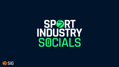## SPORT INDUSTRY SOCIALS

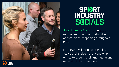

# SPORT<br>INDUSTRY<br>SOCIALS

Sport Industry Socials is an exciting new series of informal networking opportunities happening throughout 2022.

Each event will focus on trending topics and is ideal for anyone who wants to expand their knowledge and network at the same time.

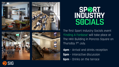



# SPORT SOCIALS

The first Sport Industry Socials event 'Finding A Fanbase' will take place at The HKX Building in Pancras Square on Thursday 7th July.

**4pm** – Arrival and drinks reception **5pm** – Interactive discussion **6pm** – Drinks on the terrace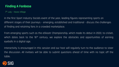#### **Finding A Fanbase**

7<sup>th</sup> July – Havas Village

In the first Sport Industry Socials event of the year, leading figures representing sports on different stages of their journeys – emerging, established and traditional - discuss the challenges of finding and retaining fans in a crowded marketplace.

From emerging sports such as the eSkootr Championship, which made its debut in 2022, to cricket, which dates back to the 16<sup>th</sup> century, we explore the obstacles and opportunities of earning eyeballs in a digital age.

Interactivity is encouraged in this session and our host will regularly turn to the audience to steer the discussion. All invitees will be able to submit questions ahead of time with no topic off the table.

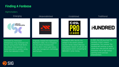#### **Finding A Fanbase**

Rightsholders



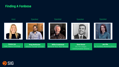#### **Finding A Fanbase**